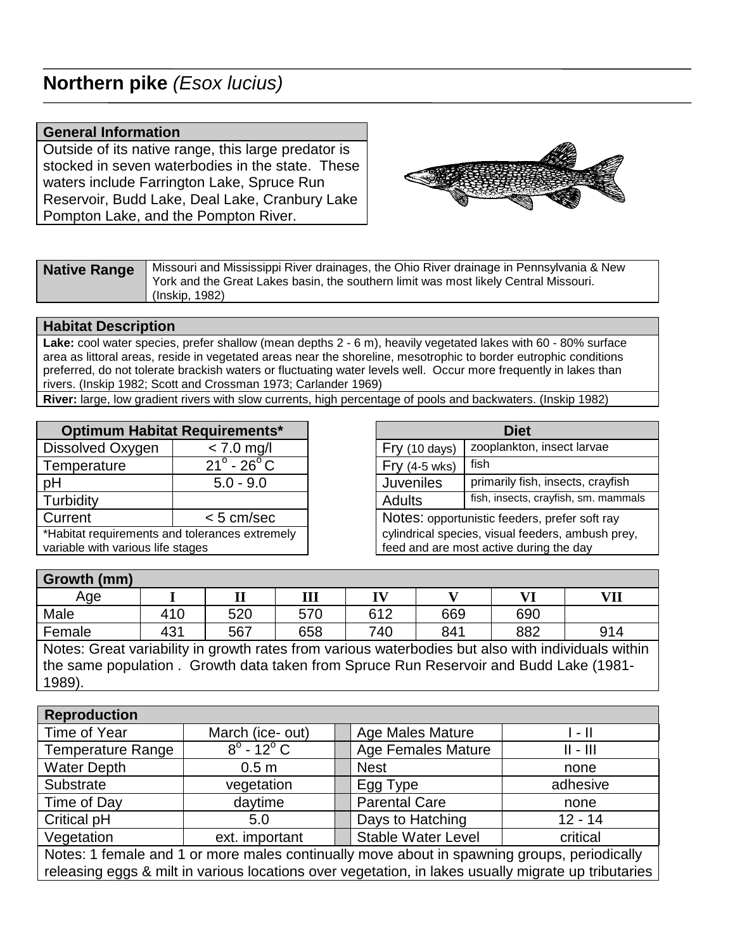## **Northern pike** (*Esox lucius*)

## **General Information**

Outside of its native range, this large predator is stocked in seven waterbodies in the state. These waters include Farrington Lake, Spruce Run Reservoir, Budd Lake, Deal Lake, Cranbury Lake Pompton Lake, and the Pompton River.



| <b>Native Range</b> | Missouri and Mississippi River drainages, the Ohio River drainage in Pennsylvania & New<br>York and the Great Lakes basin, the southern limit was most likely Central Missouri. |
|---------------------|---------------------------------------------------------------------------------------------------------------------------------------------------------------------------------|
|                     | (Inskip, 1982)                                                                                                                                                                  |

## **Habitat Description**

**Lake:** cool water species, prefer shallow (mean depths 2 - 6 m), heavily vegetated lakes with 60 - 80% surface area as littoral areas, reside in vegetated areas near the shoreline, mesotrophic to border eutrophic conditions preferred, do not tolerate brackish waters or fluctuating water levels well. Occur more frequently in lakes than rivers. (Inskip 1982; Scott and Crossman 1973; Carlander 1969)

**River:** large, low gradient rivers with slow currents, high percentage of pools and backwaters. (Inskip 1982)

| <b>Optimum Habitat Requirements*</b>                                                |                                                                                            |                                               | <b>Diet</b>                       |  |
|-------------------------------------------------------------------------------------|--------------------------------------------------------------------------------------------|-----------------------------------------------|-----------------------------------|--|
| Dissolved Oxygen                                                                    | $< 7.0$ mg/l                                                                               | Fry (10 days)                                 | zooplankton, insect larvae        |  |
| Temperature                                                                         | $21^{\circ}$ - 26 $^{\circ}$ C                                                             | $Fry(4-5 wks)$                                | fish                              |  |
| pH                                                                                  | $5.0 - 9.0$                                                                                | <b>Juveniles</b>                              | primarily fish, insects, crayfish |  |
| Turbidity                                                                           |                                                                                            | <b>Adults</b>                                 | fish, insects, crayfish, sm. mamm |  |
| Current                                                                             | $< 5$ cm/sec                                                                               | Notes: opportunistic feeders, prefer soft ray |                                   |  |
| *Habitat requirements and tolerances extremely<br>variable with various life stages | cylindrical species, visual feeders, ambush pre<br>feed and are most active during the day |                                               |                                   |  |

| <b>Optimum Habitat Requirements*</b>                                                | <b>Diet</b>                                                                                  |                                               |                                      |  |
|-------------------------------------------------------------------------------------|----------------------------------------------------------------------------------------------|-----------------------------------------------|--------------------------------------|--|
| Dissolved Oxygen                                                                    | $< 7.0$ mg/l                                                                                 | Fry (10 days)                                 | zooplankton, insect larvae           |  |
| Temperature                                                                         | $21^{\circ}$ - 26 $^{\circ}$ C                                                               | $Fry(4-5 wks)$                                | fish                                 |  |
| рH                                                                                  | $5.0 - 9.0$                                                                                  | <b>Juveniles</b>                              | primarily fish, insects, crayfish    |  |
| Turbidity                                                                           |                                                                                              | <b>Adults</b>                                 | fish, insects, crayfish, sm. mammals |  |
| Current                                                                             | $< 5$ cm/sec                                                                                 | Notes: opportunistic feeders, prefer soft ray |                                      |  |
| *Habitat requirements and tolerances extremely<br>variable with various life stages | cylindrical species, visual feeders, ambush prey,<br>feed and are most active during the day |                                               |                                      |  |

## **Growth (mm)**

| ________<br>------------ |     |         |     |              |     |           |            |
|--------------------------|-----|---------|-----|--------------|-----|-----------|------------|
| Age                      |     | тт<br>ᄺ | Ш   | <b>TV7</b>   | ÷.  | <b>TT</b> | <b>VII</b> |
| Male                     | 410 | 520     | 570 | 612<br>7 I O | 669 | 690       |            |
| Female                   | 431 | 567     | 658 | 740          | 841 | 882       | 914        |

Notes: Great variability in growth rates from various waterbodies but also with individuals within the same population . Growth data taken from Spruce Run Reservoir and Budd Lake (1981- 1989).

| <b>Reproduction</b>                                                                         |                               |  |                           |                              |  |  |
|---------------------------------------------------------------------------------------------|-------------------------------|--|---------------------------|------------------------------|--|--|
| Time of Year                                                                                | March (ice- out)              |  | <b>Age Males Mature</b>   | $\mathsf{I}$ - $\mathsf{II}$ |  |  |
| Temperature Range                                                                           | $8^{\circ}$ - 12 $^{\circ}$ C |  | <b>Age Females Mature</b> | $   -    $                   |  |  |
| <b>Water Depth</b>                                                                          | 0.5 <sub>m</sub>              |  | <b>Nest</b>               | none                         |  |  |
| Substrate                                                                                   | vegetation                    |  | Egg Type                  | adhesive                     |  |  |
| Time of Day                                                                                 | daytime                       |  | <b>Parental Care</b>      | none                         |  |  |
| Critical pH                                                                                 | 5.0                           |  | Days to Hatching          | $12 - 14$                    |  |  |
| Vegetation                                                                                  | ext. important                |  | <b>Stable Water Level</b> | critical                     |  |  |
| Notes: 1 female and 1 or more males continually move about in spawning groups, periodically |                               |  |                           |                              |  |  |

releasing eggs & milt in various locations over vegetation, in lakes usually migrate up tributaries